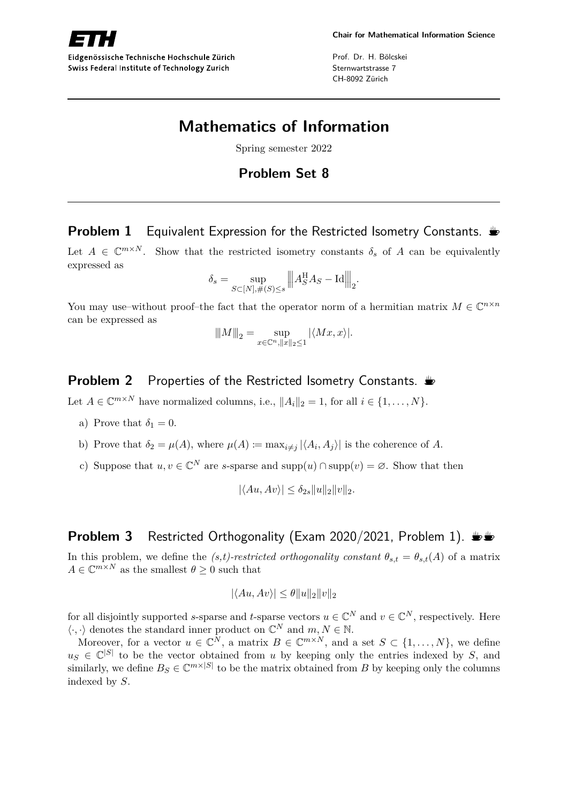

Eidgenössische Technische Hochschule Zürich Swiss Federal Institute of Technology Zurich

Prof. Dr. H. Bölcskei Sternwartstrasse 7 CH-8092 Zürich

# **Mathematics of Information**

Spring semester 2022

## **Problem Set 8**

# **Problem 1** Equivalent Expression for the Restricted Isometry Constants.  $\triangleq$

Let  $A \in \mathbb{C}^{m \times N}$ . Show that the restricted isometry constants  $\delta_s$  of A can be equivalently expressed as

$$
\delta_s = \sup_{S \subset [N], \#(S) \le s} \| A_S^{\mathcal{H}} A_S - \text{Id} \|_2.
$$

You may use–without proof–the fact that the operator norm of a hermitian matrix  $M \in \mathbb{C}^{n \times n}$ can be expressed as

$$
||M||_2 = \sup_{x \in \mathbb{C}^n, ||x||_2 \le 1} |\langle Mx, x \rangle|.
$$

### **Problem 2** Properties of the Restricted Isometry Constants.  $\triangle$

Let  $A \in \mathbb{C}^{m \times N}$  have normalized columns, i.e.,  $||A_i||_2 = 1$ , for all  $i \in \{1, ..., N\}$ .

- a) Prove that  $\delta_1 = 0$ .
- b) Prove that  $\delta_2 = \mu(A)$ , where  $\mu(A) \coloneqq \max_{i \neq j} |\langle A_i, A_j \rangle|$  is the coherence of A.
- c) Suppose that  $u, v \in \mathbb{C}^N$  are *s*-sparse and supp $(u) \cap \text{supp}(v) = \emptyset$ . Show that then

$$
|\langle Au, Av \rangle| \leq \delta_{2s} ||u||_2 ||v||_2.
$$

#### **Problem 3** Restricted Orthogonality (Exam 2020/2021, Problem 1).  $\psi$

In this problem, we define the *(s,t)-restricted orthogonality constant*  $\theta_{s,t} = \theta_{s,t}(A)$  of a matrix  $A \in \mathbb{C}^{m \times N}$  as the smallest  $\theta \geq 0$  such that

$$
|\langle Au, Av \rangle| \le \theta ||u||_2 ||v||_2
$$

for all disjointly supported *s*-sparse and *t*-sparse vectors  $u \in \mathbb{C}^N$  and  $v \in \mathbb{C}^N$ , respectively. Here  $\langle \cdot, \cdot \rangle$  denotes the standard inner product on  $\mathbb{C}^N$  and  $m, N \in \mathbb{N}$ .

Moreover, for a vector  $u \in \mathbb{C}^N$ , a matrix  $B \in \mathbb{C}^{m \times N}$ , and a set  $S \subset \{1, ..., N\}$ , we define  $u_S \in \mathbb{C}^{|S|}$  to be the vector obtained from *u* by keeping only the entries indexed by *S*, and similarly, we define  $B_S \in \mathbb{C}^{m \times |S|}$  to be the matrix obtained from *B* by keeping only the columns indexed by *S*.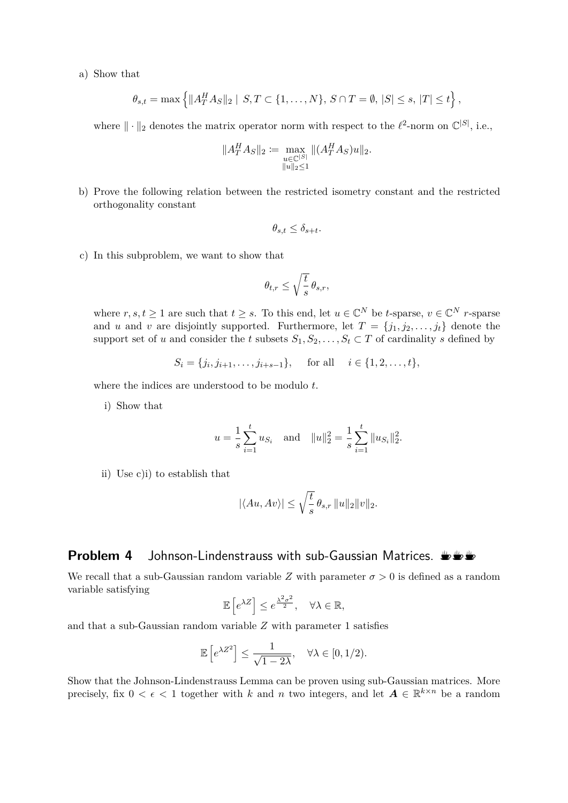a) Show that

$$
\theta_{s,t} = \max \left\{ \|A_T^H A_S\|_2 \mid S, T \subset \{1, ..., N\}, S \cap T = \emptyset, |S| \le s, |T| \le t \right\},\
$$

where  $\|\cdot\|_2$  denotes the matrix operator norm with respect to the  $\ell^2$ -norm on  $\mathbb{C}^{|S|}$ , i.e.,

$$
||A_T^H A_S||_2 := \max_{\substack{u \in \mathbb{C}^{|S|} \\ ||u||_2 \le 1}} ||(A_T^H A_S)u||_2.
$$

b) Prove the following relation between the restricted isometry constant and the restricted orthogonality constant

$$
\theta_{s,t} \le \delta_{s+t}.
$$

c) In this subproblem, we want to show that

$$
\theta_{t,r}\leq \sqrt{\frac{t}{s}}\,\theta_{s,r},
$$

where  $r, s, t \geq 1$  are such that  $t \geq s$ . To this end, let  $u \in \mathbb{C}^N$  be *t*-sparse,  $v \in \mathbb{C}^N$  *r*-sparse and *u* and *v* are disjointly supported. Furthermore, let  $T = \{j_1, j_2, \ldots, j_t\}$  denote the support set of *u* and consider the *t* subsets  $S_1, S_2, \ldots, S_t \subset T$  of cardinality *s* defined by

$$
S_i = \{j_i, j_{i+1}, \dots, j_{i+s-1}\}, \text{ for all } i \in \{1, 2, \dots, t\},
$$

where the indices are understood to be modulo *t*.

i) Show that

$$
u = \frac{1}{s} \sum_{i=1}^{t} u_{S_i}
$$
 and  $||u||_2^2 = \frac{1}{s} \sum_{i=1}^{t} ||u_{S_i}||_2^2$ .

ii) Use c)i) to establish that

$$
|\langle Au, Av \rangle| \le \sqrt{\frac{t}{s}} \,\theta_{s,r} \, \|u\|_2 \|v\|_2.
$$

#### **Problem 4** Johnson-Lindenstrauss with sub-Gaussian Matrices.  $\psi \psi$

We recall that a sub-Gaussian random variable *Z* with parameter  $\sigma > 0$  is defined as a random variable satisfying

$$
\mathbb{E}\left[e^{\lambda Z}\right] \leq e^{\frac{\lambda^2 \sigma^2}{2}}, \quad \forall \lambda \in \mathbb{R},
$$

and that a sub-Gaussian random variable *Z* with parameter 1 satisfies

$$
\mathbb{E}\left[e^{\lambda Z^2}\right] \le \frac{1}{\sqrt{1-2\lambda}}, \quad \forall \lambda \in [0, 1/2).
$$

Show that the Johnson-Lindenstrauss Lemma can be proven using sub-Gaussian matrices. More precisely, fix  $0 < \epsilon < 1$  together with *k* and *n* two integers, and let  $A \in \mathbb{R}^{k \times n}$  be a random